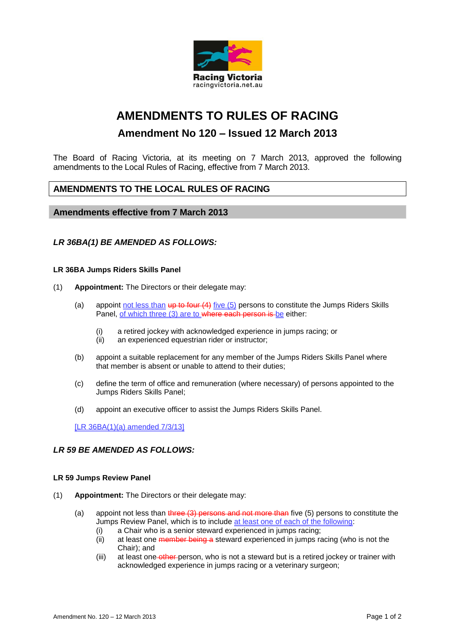

# **AMENDMENTS TO RULES OF RACING**

# **Amendment No 120 – Issued 12 March 2013**

The Board of Racing Victoria, at its meeting on 7 March 2013, approved the following amendments to the Local Rules of Racing, effective from 7 March 2013.

# **AMENDMENTS TO THE LOCAL RULES OF RACING**

## **Amendments effective from 7 March 2013**

### *LR 36BA(1) BE AMENDED AS FOLLOWS:*

#### **LR 36BA Jumps Riders Skills Panel**

- (1) **Appointment:** The Directors or their delegate may:
	- (a) appoint not less than up to four  $(4)$  five  $(5)$  persons to constitute the Jumps Riders Skills Panel, of which three (3) are to where each person is be either:
		- (i) a retired jockey with acknowledged experience in jumps racing; or
		- (ii) an experienced equestrian rider or instructor;
	- (b) appoint a suitable replacement for any member of the Jumps Riders Skills Panel where that member is absent or unable to attend to their duties;
	- (c) define the term of office and remuneration (where necessary) of persons appointed to the Jumps Riders Skills Panel;
	- (d) appoint an executive officer to assist the Jumps Riders Skills Panel.

[LR 36BA(1)(a) amended 7/3/13]

#### *LR 59 BE AMENDED AS FOLLOWS:*

#### **LR 59 Jumps Review Panel**

- (1) **Appointment:** The Directors or their delegate may:
	- (a) appoint not less than three  $(3)$  persons and not more than five  $(5)$  persons to constitute the Jumps Review Panel, which is to include at least one of each of the following:
		- (i) a Chair who is a senior steward experienced in jumps racing;
		- (ii) at least one member being a steward experienced in jumps racing (who is not the Chair); and
		- (iii) at least one other person, who is not a steward but is a retired jockey or trainer with acknowledged experience in jumps racing or a veterinary surgeon;